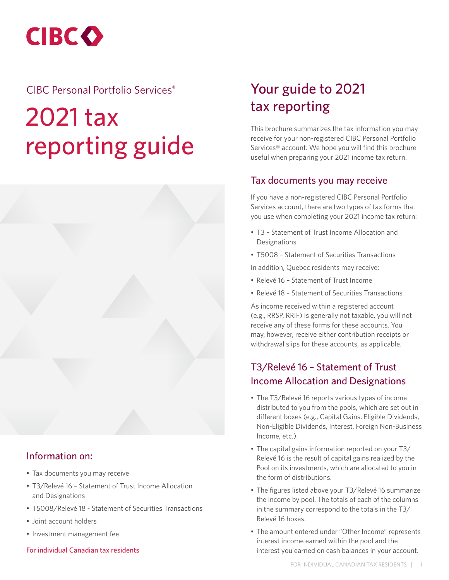**CIBCO** 

# CIBC Personal Portfolio Services®

# 2021 tax reporting guide

# Information on:

- Tax documents you may receive
- T3/Relevé 16 Statement of Trust Income Allocation and Designations
- T5008/Relevé 18 Statement of Securities Transactions
- Joint account holders
- Investment management fee

#### For individual Canadian tax residents

# Your guide to 2021 tax reporting

This brochure summarizes the tax information you may receive for your non-registered CIBC Personal Portfolio Services® account. We hope you will find this brochure useful when preparing your 2021 income tax return.

#### Tax documents you may receive

If you have a non-registered CIBC Personal Portfolio Services account, there are two types of tax forms that you use when completing your 2021 income tax return:

- T3 Statement of Trust Income Allocation and Designations
- T5008 Statement of Securities Transactions

In addition, Quebec residents may receive:

- Relevé 16 Statement of Trust Income
- Relevé 18 Statement of Securities Transactions

As income received within a registered account (e.g., RRSP, RRIF) is generally not taxable, you will not receive any of these forms for these accounts. You may, however, receive either contribution receipts or withdrawal slips for these accounts, as applicable.

# T3/Relevé 16 – Statement of Trust Income Allocation and Designations

- The T3/Relevé 16 reports various types of income distributed to you from the pools, which are set out in different boxes (e.g., Capital Gains, Eligible Dividends, Non-Eligible Dividends, Interest, Foreign Non-Business Income, etc.).
- The capital gains information reported on your T3/ Relevé 16 is the result of capital gains realized by the Pool on its investments, which are allocated to you in the form of distributions.
- The figures listed above your T3/Relevé 16 summarize the income by pool. The totals of each of the columns in the summary correspond to the totals in the T3/ Relevé 16 boxes.
- The amount entered under "Other Income" represents interest income earned within the pool and the interest you earned on cash balances in your account.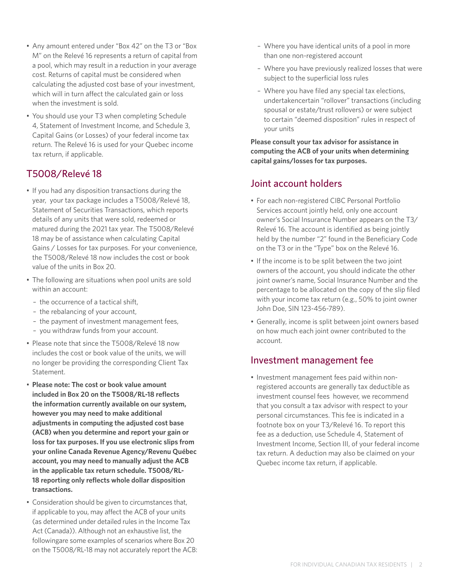- Any amount entered under "Box 42" on the T3 or "Box M" on the Relevé 16 represents a return of capital from a pool, which may result in a reduction in your average cost. Returns of capital must be considered when calculating the adjusted cost base of your investment, which will in turn affect the calculated gain or loss when the investment is sold.
- You should use your T3 when completing Schedule 4, Statement of Investment Income, and Schedule 3, Capital Gains (or Losses) of your federal income tax return. The Relevé 16 is used for your Quebec income tax return, if applicable.

## T5008/Relevé 18

- If you had any disposition transactions during the year, your tax package includes a T5008/Relevé 18, Statement of Securities Transactions, which reports details of any units that were sold, redeemed or matured during the 2021 tax year. The T5008/Relevé 18 may be of assistance when calculating Capital Gains / Losses for tax purposes. For your convenience, the T5008/Relevé 18 now includes the cost or book value of the units in Box 20.
- The following are situations when pool units are sold within an account:
	- the occurrence of a tactical shift,
	- the rebalancing of your account,
	- the payment of investment management fees,
	- you withdraw funds from your account.
- Please note that since the T5008/Relevé 18 now includes the cost or book value of the units, we will no longer be providing the corresponding Client Tax Statement.
- **Please note: The cost or book value amount included in Box 20 on the T5008/RL-18 reflects the information currently available on our system, however you may need to make additional adjustments in computing the adjusted cost base (ACB) when you determine and report your gain or loss for tax purposes. If you use electronic slips from your online Canada Revenue Agency/Revenu Québec account, you may need to manually adjust the ACB in the applicable tax return schedule. T5008/RL-18 reporting only reflects whole dollar disposition transactions.**
- Consideration should be given to circumstances that, if applicable to you, may affect the ACB of your units (as determined under detailed rules in the Income Tax Act (Canada)). Although not an exhaustive list, the followingare some examples of scenarios where Box 20 on the T5008/RL-18 may not accurately report the ACB:
- Where you have identical units of a pool in more than one non-registered account
- Where you have previously realized losses that were subject to the superficial loss rules
- Where you have filed any special tax elections, undertakencertain "rollover" transactions (including spousal or estate/trust rollovers) or were subject to certain "deemed disposition" rules in respect of your units

**Please consult your tax advisor for assistance in computing the ACB of your units when determining capital gains/losses for tax purposes.**

## Joint account holders

- For each non-registered CIBC Personal Portfolio Services account jointly held, only one account owner's Social Insurance Number appears on the T3/ Relevé 16. The account is identified as being jointly held by the number "2" found in the Beneficiary Code on the T3 or in the "Type" box on the Relevé 16.
- If the income is to be split between the two joint owners of the account, you should indicate the other joint owner's name, Social Insurance Number and the percentage to be allocated on the copy of the slip filed with your income tax return (e.g., 50% to joint owner John Doe, SIN 123-456-789).
- Generally, income is split between joint owners based on how much each joint owner contributed to the account.

## Investment management fee

• Investment management fees paid within nonregistered accounts are generally tax deductible as investment counsel fees however, we recommend that you consult a tax advisor with respect to your personal circumstances. This fee is indicated in a footnote box on your T3/Relevé 16. To report this fee as a deduction, use Schedule 4, Statement of Investment Income, Section III, of your federal income tax return. A deduction may also be claimed on your Quebec income tax return, if applicable.